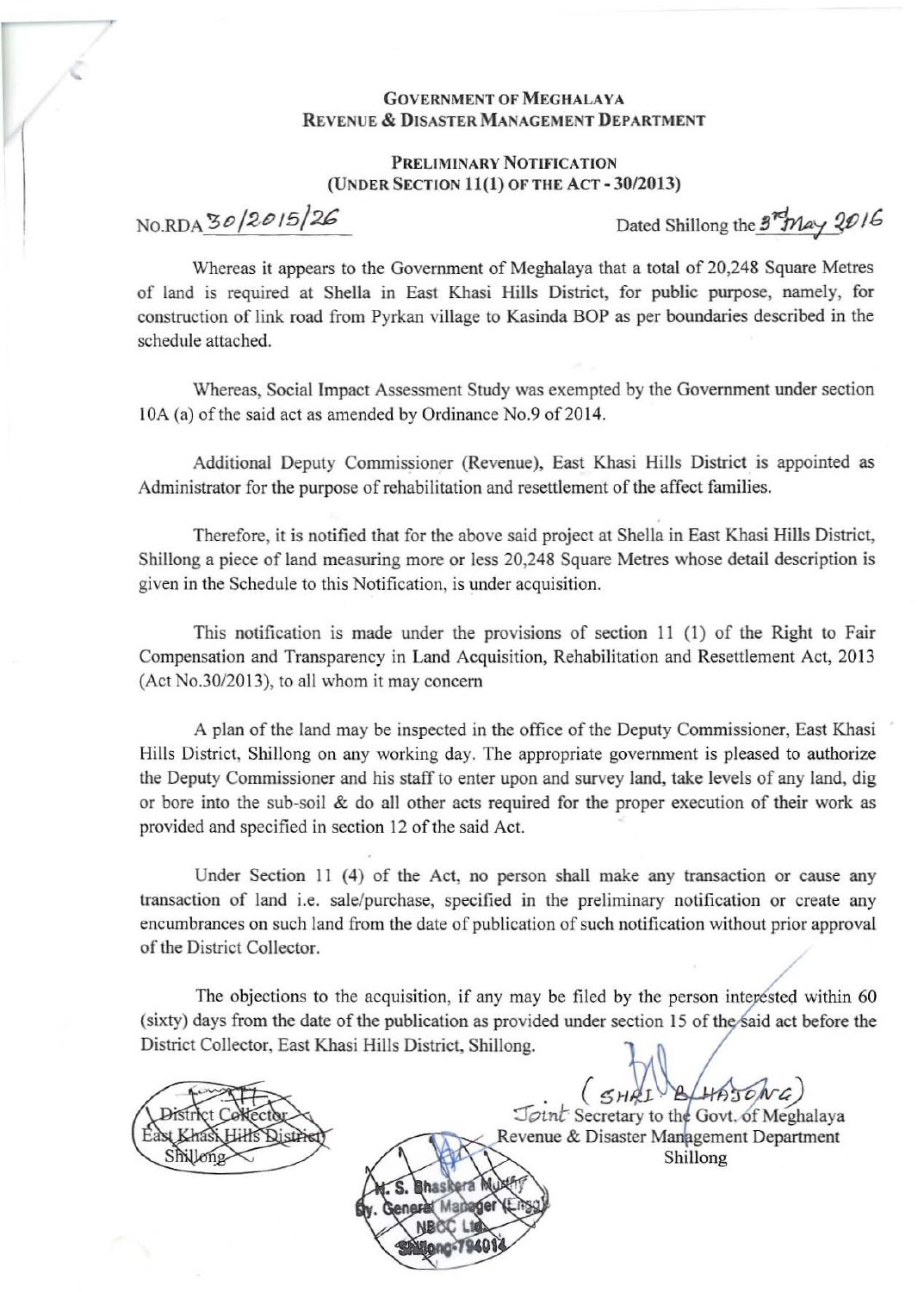## **GOVERNMENT OF MEGHALAYA** REVENUE & DISASTER MANAGEMENT DEPARTMENT

## PRELIMINARY NOTIFICATION (UNDER SECTION 11(1) OF THE ACT - 30/2013)

No.RDA  $30/2015/26$  Dated Shillong the  $3<sup>rd</sup>May 2016$ 

Whereas it appears to the Government of Meghalaya that a total of 20,248 Square Metres of land is required at Sheila in East Khasi Hills District, for public purpose, namely, for construction of link road from Pyrkan village to Kasinda BOP as per boundaries described in the schedule attached.

Whereas, Social Impact Assessment Study was exempted by the Government under section 10A (a) of the said act as amended by Ordinance No.9 of 2014.

Additional Deputy Commissioner (Revenue), East Khasi Hills District is appointed as Administrator for the purpose of rehabilitation and resettlement of the affect families.

Therefore, it is notified that for the above said project at Shella in East Khasi Hills District, Shillong a piece of land measuring more or less 20,248 Square Metres whose detail description is given in the Schedule to this Notification, is under acquisition.

This notification is made under the provisions of section II (I) of the Right to Fair Compensation and Transparency in Land Acquisition, Rehabilitation and Resettlement Act, 2013 (Act No.30/2013), to all whom it may concern

A plan of the land may be inspected in the office of the Deputy Commissioner, East Khasi Hills District, Shillong on any working day. The appropriate government is pleased to authorize the Deputy Commissioner and his staff to enter upon and survey land, take levels of any land, dig or bore into the sub-soil & do all other acts required for the proper execution of their work as provided and specified in section 12 of the said Act.

Under Section 11 (4) of the Act, no person shall make any transaction or cause any transaction of land i.e. sale/purchase, specified in the preliminary notification or create any encumbrances on such land from the date of publication of such notification without prior approval of the District Collector.

The objections to the acquisition, if any may be filed by the person interested within 60 (sixty) days from the date of the publication as provided under section 15 of the said act before the District Collector, East Khasi Hills District, Shillong.

\

 $(5HAT)$ LHAT

Joint Secretary to the Revenue & Disaster Management Department

Shillong

Shillong